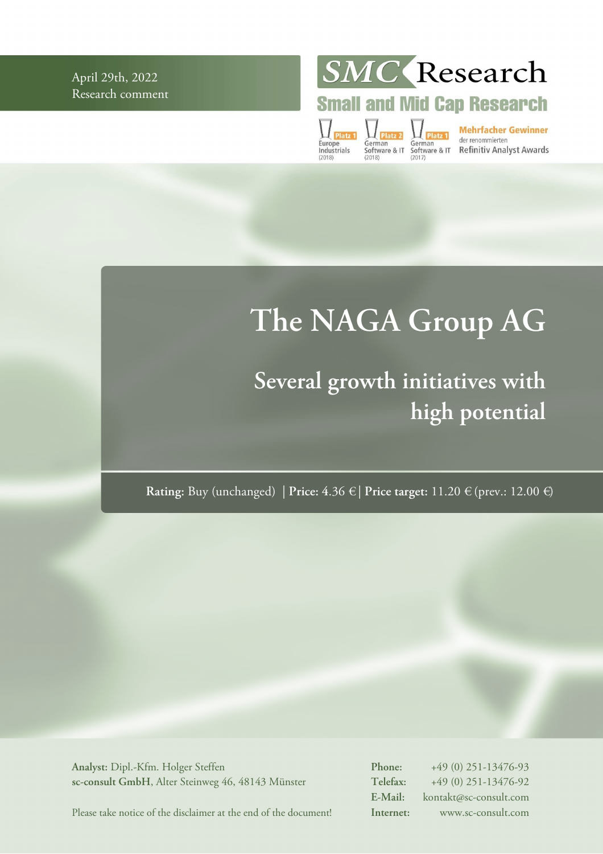April 29th, 2022 Research comment SMC Research

**Small and Mid Cap Research** 

 $\prod_{\text{Platz }1}$ Europe<br>Industrials

German<br>
German<br>
Software & IT Software & IT Refinitiv Analyst Awards<br>
(2018)<br>
(2018)

# **The NAGA Group AG**

## **Several growth initiatives with high potential**

**Rating:** Buy (unchanged) | **Price: 4**.36 € | **Price target:** 11.20 € (prev.: 12.00 €)

**Analyst:** Dipl.-Kfm. Holger Steffen **sc-consult GmbH**, Alter Steinweg 46, 48143 Münster **Phone:** +49 (0) 251-13476-93 **Telefax:** +49 (0) 251-13476-92 **E-Mail:** kontakt@sc-consult.com **Internet:** www.sc-consult.com

Please take notice of the disclaimer at the end of the document!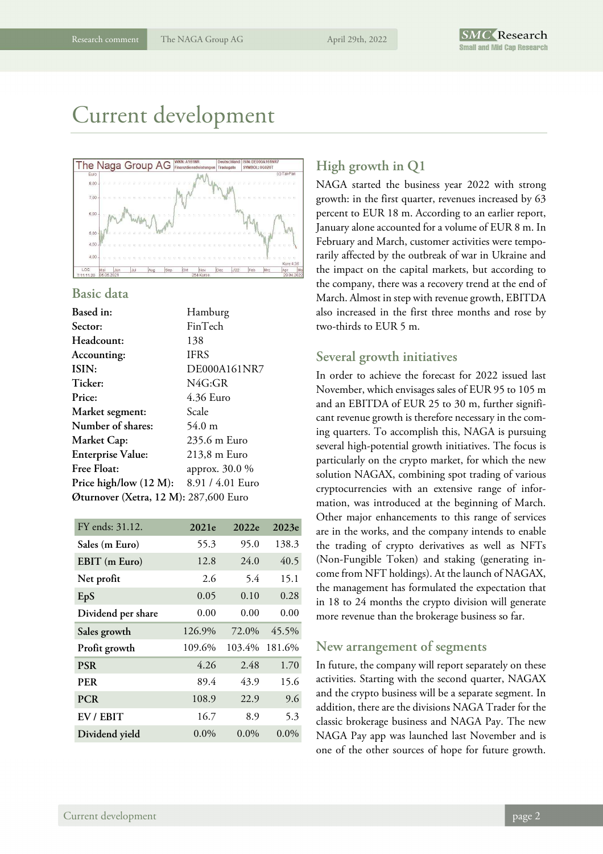## Current development



#### **Basic data**

| Hamburg                               |
|---------------------------------------|
| FinTech                               |
| 138                                   |
| <b>IFRS</b>                           |
| DE000A161NR7                          |
| N4G:GR                                |
| 4.36 Euro                             |
| Scale                                 |
| $54.0 \text{ m}$                      |
| 235.6 m Euro                          |
| 213,8 m Euro                          |
| approx. 30.0 %                        |
| 8.91/4.01 Euro                        |
| Øturnover (Xetra, 12 M): 287,600 Euro |
|                                       |

| 2021e   | 2022e   | 2023e   |
|---------|---------|---------|
| 55.3    | 95.0    | 138.3   |
| 12.8    | 24.0    | 40.5    |
| 2.6     | 5.4     | 15.1    |
| 0.05    | 0.10    | 0.28    |
| 0.00    | 0.00    | 0.00    |
| 126.9%  | 72.0%   | 45.5%   |
| 109.6%  |         | 181.6%  |
| 4.26    | 2.48    | 1.70    |
| 89.4    | 43.9    | 15.6    |
| 108.9   | 22.9    | 9.6     |
| 16.7    | 8.9     | 5.3     |
| $0.0\%$ | $0.0\%$ | $0.0\%$ |
|         |         | 103.4%  |

### **High growth in Q1**

NAGA started the business year 2022 with strong growth: in the first quarter, revenues increased by 63 percent to EUR 18 m. According to an earlier report, January alone accounted for a volume of EUR 8 m. In February and March, customer activities were temporarily affected by the outbreak of war in Ukraine and the impact on the capital markets, but according to the company, there was a recovery trend at the end of March. Almost in step with revenue growth, EBITDA also increased in the first three months and rose by two-thirds to EUR 5 m.

#### **Several growth initiatives**

In order to achieve the forecast for 2022 issued last November, which envisages sales of EUR 95 to 105 m and an EBITDA of EUR 25 to 30 m, further significant revenue growth is therefore necessary in the coming quarters. To accomplish this, NAGA is pursuing several high-potential growth initiatives. The focus is particularly on the crypto market, for which the new solution NAGAX, combining spot trading of various cryptocurrencies with an extensive range of information, was introduced at the beginning of March. Other major enhancements to this range of services are in the works, and the company intends to enable the trading of crypto derivatives as well as NFTs (Non-Fungible Token) and staking (generating income from NFT holdings). At the launch of NAGAX, the management has formulated the expectation that in 18 to 24 months the crypto division will generate more revenue than the brokerage business so far.

#### **New arrangement of segments**

In future, the company will report separately on these activities. Starting with the second quarter, NAGAX and the crypto business will be a separate segment. In addition, there are the divisions NAGA Trader for the classic brokerage business and NAGA Pay. The new NAGA Pay app was launched last November and is one of the other sources of hope for future growth.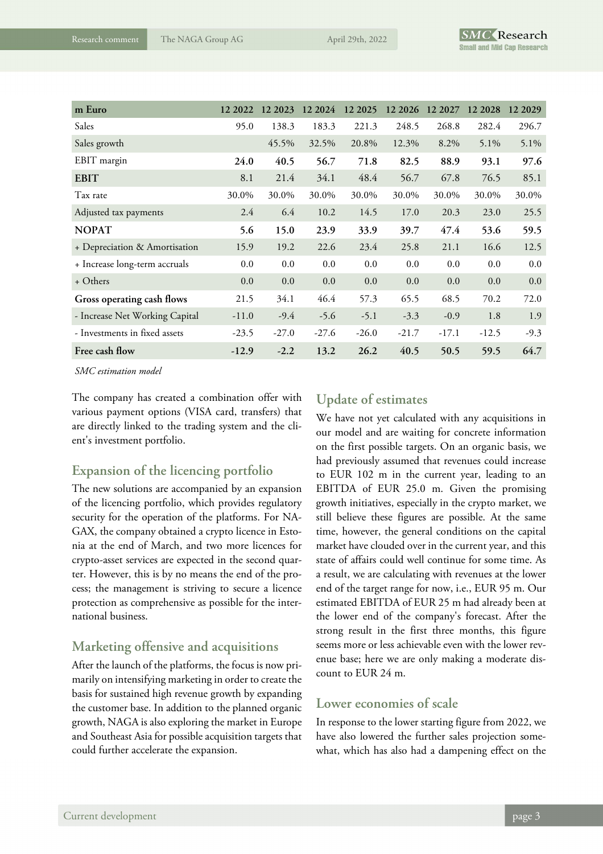| m Euro                         | 12 2022 | 12 2023 | 12 2024 | 12 2025 | 12 20 26 | 12 2027 | 12 2028 | 12 20 29 |
|--------------------------------|---------|---------|---------|---------|----------|---------|---------|----------|
| Sales                          | 95.0    | 138.3   | 183.3   | 221.3   | 248.5    | 268.8   | 282.4   | 296.7    |
| Sales growth                   |         | 45.5%   | 32.5%   | 20.8%   | 12.3%    | 8.2%    | 5.1%    | 5.1%     |
| EBIT margin                    | 24.0    | 40.5    | 56.7    | 71.8    | 82.5     | 88.9    | 93.1    | 97.6     |
| <b>EBIT</b>                    | 8.1     | 21.4    | 34.1    | 48.4    | 56.7     | 67.8    | 76.5    | 85.1     |
| Tax rate                       | 30.0%   | 30.0%   | 30.0%   | 30.0%   | 30.0%    | 30.0%   | 30.0%   | 30.0%    |
| Adjusted tax payments          | 2.4     | 6.4     | 10.2    | 14.5    | 17.0     | 20.3    | 23.0    | 25.5     |
| <b>NOPAT</b>                   | 5.6     | 15.0    | 23.9    | 33.9    | 39.7     | 47.4    | 53.6    | 59.5     |
| + Depreciation & Amortisation  | 15.9    | 19.2    | 22.6    | 23.4    | 25.8     | 21.1    | 16.6    | 12.5     |
| + Increase long-term accruals  | 0.0     | 0.0     | 0.0     | 0.0     | 0.0      | 0.0     | 0.0     | 0.0      |
| + Others                       | 0.0     | 0.0     | 0.0     | 0.0     | 0.0      | 0.0     | 0.0     | 0.0      |
| Gross operating cash flows     | 21.5    | 34.1    | 46.4    | 57.3    | 65.5     | 68.5    | 70.2    | 72.0     |
| - Increase Net Working Capital | $-11.0$ | $-9.4$  | $-5.6$  | $-5.1$  | $-3.3$   | $-0.9$  | 1.8     | 1.9      |
| - Investments in fixed assets  | $-23.5$ | $-27.0$ | $-27.6$ | $-26.0$ | $-21.7$  | $-17.1$ | $-12.5$ | $-9.3$   |
| Free cash flow                 | $-12.9$ | $-2.2$  | 13.2    | 26.2    | 40.5     | 50.5    | 59.5    | 64.7     |

*SMC estimation model*

The company has created a combination offer with various payment options (VISA card, transfers) that are directly linked to the trading system and the client's investment portfolio.

### **Expansion of the licencing portfolio**

The new solutions are accompanied by an expansion of the licencing portfolio, which provides regulatory security for the operation of the platforms. For NA-GAX, the company obtained a crypto licence in Estonia at the end of March, and two more licences for crypto-asset services are expected in the second quarter. However, this is by no means the end of the process; the management is striving to secure a licence protection as comprehensive as possible for the international business.

### **Marketing offensive and acquisitions**

After the launch of the platforms, the focus is now primarily on intensifying marketing in order to create the basis for sustained high revenue growth by expanding the customer base. In addition to the planned organic growth, NAGA is also exploring the market in Europe and Southeast Asia for possible acquisition targets that could further accelerate the expansion.

### **Update of estimates**

We have not yet calculated with any acquisitions in our model and are waiting for concrete information on the first possible targets. On an organic basis, we had previously assumed that revenues could increase to EUR 102 m in the current year, leading to an EBITDA of EUR 25.0 m. Given the promising growth initiatives, especially in the crypto market, we still believe these figures are possible. At the same time, however, the general conditions on the capital market have clouded over in the current year, and this state of affairs could well continue for some time. As a result, we are calculating with revenues at the lower end of the target range for now, i.e., EUR 95 m. Our estimated EBITDA of EUR 25 m had already been at the lower end of the company's forecast. After the strong result in the first three months, this figure seems more or less achievable even with the lower revenue base; here we are only making a moderate discount to EUR 24 m.

### **Lower economies of scale**

In response to the lower starting figure from 2022, we have also lowered the further sales projection somewhat, which has also had a dampening effect on the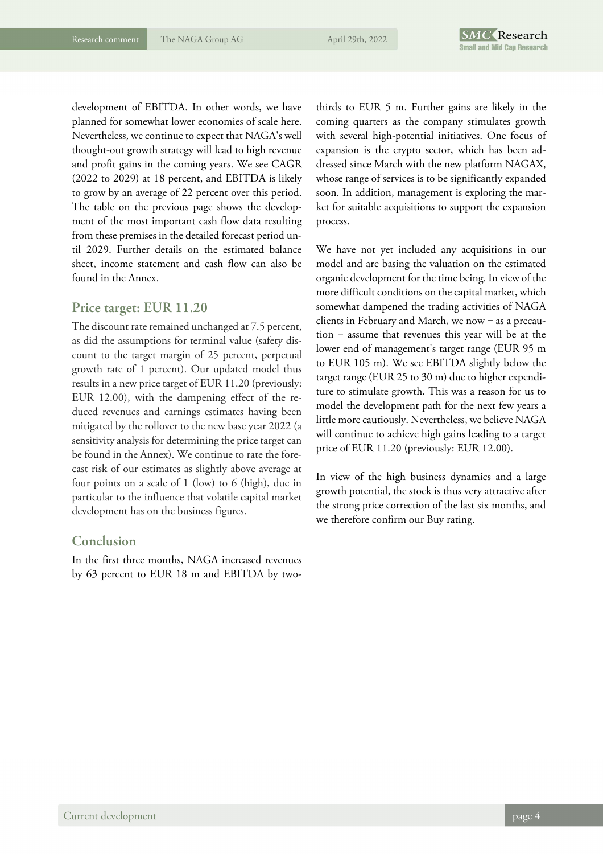development of EBITDA. In other words, we have planned for somewhat lower economies of scale here. Nevertheless, we continue to expect that NAGA's well thought-out growth strategy will lead to high revenue and profit gains in the coming years. We see CAGR (2022 to 2029) at 18 percent, and EBITDA is likely to grow by an average of 22 percent over this period. The table on the previous page shows the development of the most important cash flow data resulting from these premises in the detailed forecast period until 2029. Further details on the estimated balance sheet, income statement and cash flow can also be found in the Annex.

#### **Price target: EUR 11.20**

The discount rate remained unchanged at 7.5 percent, as did the assumptions for terminal value (safety discount to the target margin of 25 percent, perpetual growth rate of 1 percent). Our updated model thus results in a new price target of EUR 11.20 (previously: EUR 12.00), with the dampening effect of the reduced revenues and earnings estimates having been mitigated by the rollover to the new base year 2022 (a sensitivity analysis for determining the price target can be found in the Annex). We continue to rate the forecast risk of our estimates as slightly above average at four points on a scale of 1 (low) to 6 (high), due in particular to the influence that volatile capital market development has on the business figures.

#### **Conclusion**

In the first three months, NAGA increased revenues by 63 percent to EUR 18 m and EBITDA by twothirds to EUR 5 m. Further gains are likely in the coming quarters as the company stimulates growth with several high-potential initiatives. One focus of expansion is the crypto sector, which has been addressed since March with the new platform NAGAX, whose range of services is to be significantly expanded soon. In addition, management is exploring the market for suitable acquisitions to support the expansion process.

We have not yet included any acquisitions in our model and are basing the valuation on the estimated organic development for the time being. In view of the more difficult conditions on the capital market, which somewhat dampened the trading activities of NAGA clients in February and March, we now  $-$  as a precau $tion - assume that revenues this year will be at the$ lower end of management's target range (EUR 95 m to EUR 105 m). We see EBITDA slightly below the target range (EUR 25 to 30 m) due to higher expenditure to stimulate growth. This was a reason for us to model the development path for the next few years a little more cautiously. Nevertheless, we believe NAGA will continue to achieve high gains leading to a target price of EUR 11.20 (previously: EUR 12.00).

In view of the high business dynamics and a large growth potential, the stock is thus very attractive after the strong price correction of the last six months, and we therefore confirm our Buy rating.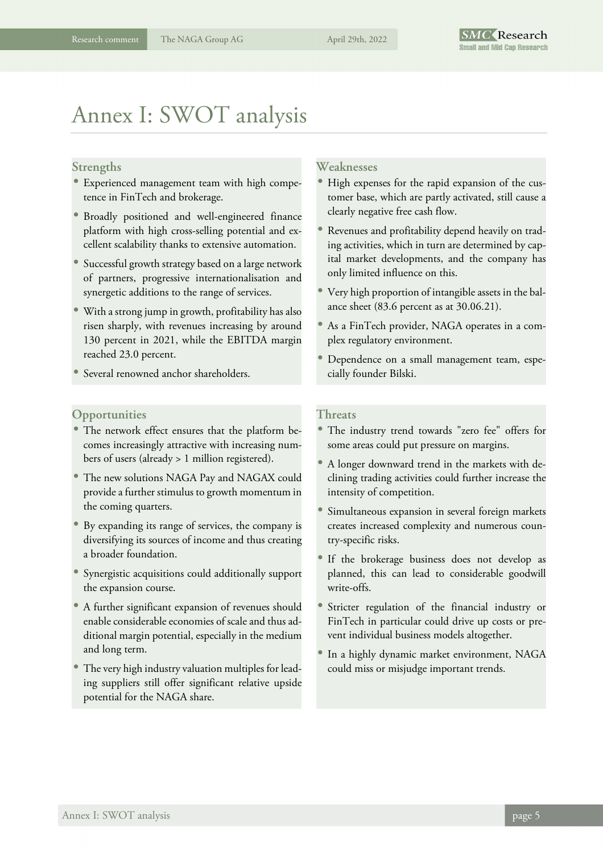## Annex I: SWOT analysis

#### **Strengths**

- Experienced management team with high competence in FinTech and brokerage.
- Broadly positioned and well-engineered finance platform with high cross-selling potential and excellent scalability thanks to extensive automation.
- Successful growth strategy based on a large network of partners, progressive internationalisation and synergetic additions to the range of services.
- With a strong jump in growth, profitability has also risen sharply, with revenues increasing by around 130 percent in 2021, while the EBITDA margin reached 23.0 percent.
- Several renowned anchor shareholders.

#### **Opportunities**

- The network effect ensures that the platform becomes increasingly attractive with increasing numbers of users (already > 1 million registered).
- The new solutions NAGA Pay and NAGAX could provide a further stimulus to growth momentum in the coming quarters.
- By expanding its range of services, the company is diversifying its sources of income and thus creating a broader foundation.
- Synergistic acquisitions could additionally support the expansion course.
- A further significant expansion of revenues should enable considerable economies of scale and thus additional margin potential, especially in the medium and long term.
- The very high industry valuation multiples for leading suppliers still offer significant relative upside potential for the NAGA share.

#### **Weaknesses**

- High expenses for the rapid expansion of the customer base, which are partly activated, still cause a clearly negative free cash flow.
- Revenues and profitability depend heavily on trading activities, which in turn are determined by capital market developments, and the company has only limited influence on this.
- Very high proportion of intangible assets in the balance sheet (83.6 percent as at 30.06.21).
- As a FinTech provider, NAGA operates in a complex regulatory environment.
- Dependence on a small management team, especially founder Bilski.

#### **Threats**

- The industry trend towards "zero fee" offers for some areas could put pressure on margins.
- A longer downward trend in the markets with declining trading activities could further increase the intensity of competition.
- Simultaneous expansion in several foreign markets creates increased complexity and numerous country-specific risks.
- If the brokerage business does not develop as planned, this can lead to considerable goodwill write-offs.
- Stricter regulation of the financial industry or FinTech in particular could drive up costs or prevent individual business models altogether.
- In a highly dynamic market environment, NAGA could miss or misjudge important trends.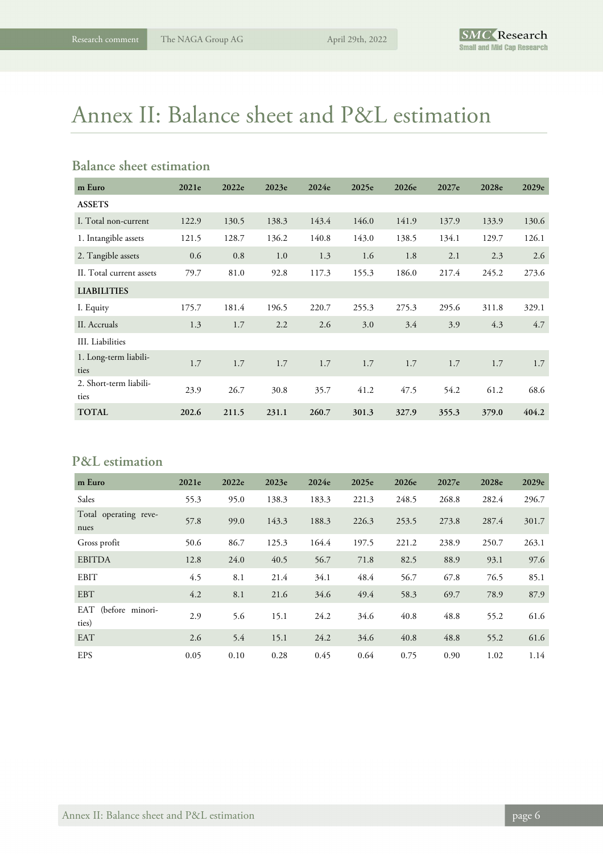## Annex II: Balance sheet and P&L estimation

## **Balance sheet estimation**

| m Euro                         | 2021e | 2022e | 2023e | 2024e | 2025e | 2026e | 2027e | 2028e | 2029e |
|--------------------------------|-------|-------|-------|-------|-------|-------|-------|-------|-------|
| <b>ASSETS</b>                  |       |       |       |       |       |       |       |       |       |
| I. Total non-current           | 122.9 | 130.5 | 138.3 | 143.4 | 146.0 | 141.9 | 137.9 | 133.9 | 130.6 |
| 1. Intangible assets           | 121.5 | 128.7 | 136.2 | 140.8 | 143.0 | 138.5 | 134.1 | 129.7 | 126.1 |
| 2. Tangible assets             | 0.6   | 0.8   | 1.0   | 1.3   | 1.6   | 1.8   | 2.1   | 2.3   | 2.6   |
| II. Total current assets       | 79.7  | 81.0  | 92.8  | 117.3 | 155.3 | 186.0 | 217.4 | 245.2 | 273.6 |
| <b>LIABILITIES</b>             |       |       |       |       |       |       |       |       |       |
| I. Equity                      | 175.7 | 181.4 | 196.5 | 220.7 | 255.3 | 275.3 | 295.6 | 311.8 | 329.1 |
| II. Accruals                   | 1.3   | 1.7   | 2.2   | 2.6   | 3.0   | 3.4   | 3.9   | 4.3   | 4.7   |
| III. Liabilities               |       |       |       |       |       |       |       |       |       |
| 1. Long-term liabili-<br>ties  | 1.7   | 1.7   | 1.7   | 1.7   | 1.7   | 1.7   | 1.7   | 1.7   | 1.7   |
| 2. Short-term liabili-<br>ties | 23.9  | 26.7  | 30.8  | 35.7  | 41.2  | 47.5  | 54.2  | 61.2  | 68.6  |
| <b>TOTAL</b>                   | 202.6 | 211.5 | 231.1 | 260.7 | 301.3 | 327.9 | 355.3 | 379.0 | 404.2 |

## **P&L estimation**

| m Euro                        | 2021e | 2022e | 2023e | 2024e | 2025e | 2026e | 2027e | 2028e | 2029e |
|-------------------------------|-------|-------|-------|-------|-------|-------|-------|-------|-------|
| Sales                         | 55.3  | 95.0  | 138.3 | 183.3 | 221.3 | 248.5 | 268.8 | 282.4 | 296.7 |
| Total operating reve-<br>nues | 57.8  | 99.0  | 143.3 | 188.3 | 226.3 | 253.5 | 273.8 | 287.4 | 301.7 |
| Gross profit                  | 50.6  | 86.7  | 125.3 | 164.4 | 197.5 | 221.2 | 238.9 | 250.7 | 263.1 |
| <b>EBITDA</b>                 | 12.8  | 24.0  | 40.5  | 56.7  | 71.8  | 82.5  | 88.9  | 93.1  | 97.6  |
| <b>EBIT</b>                   | 4.5   | 8.1   | 21.4  | 34.1  | 48.4  | 56.7  | 67.8  | 76.5  | 85.1  |
| <b>EBT</b>                    | 4.2   | 8.1   | 21.6  | 34.6  | 49.4  | 58.3  | 69.7  | 78.9  | 87.9  |
| EAT (before minori-<br>ties)  | 2.9   | 5.6   | 15.1  | 24.2  | 34.6  | 40.8  | 48.8  | 55.2  | 61.6  |
| EAT                           | 2.6   | 5.4   | 15.1  | 24.2  | 34.6  | 40.8  | 48.8  | 55.2  | 61.6  |
| <b>EPS</b>                    | 0.05  | 0.10  | 0.28  | 0.45  | 0.64  | 0.75  | 0.90  | 1.02  | 1.14  |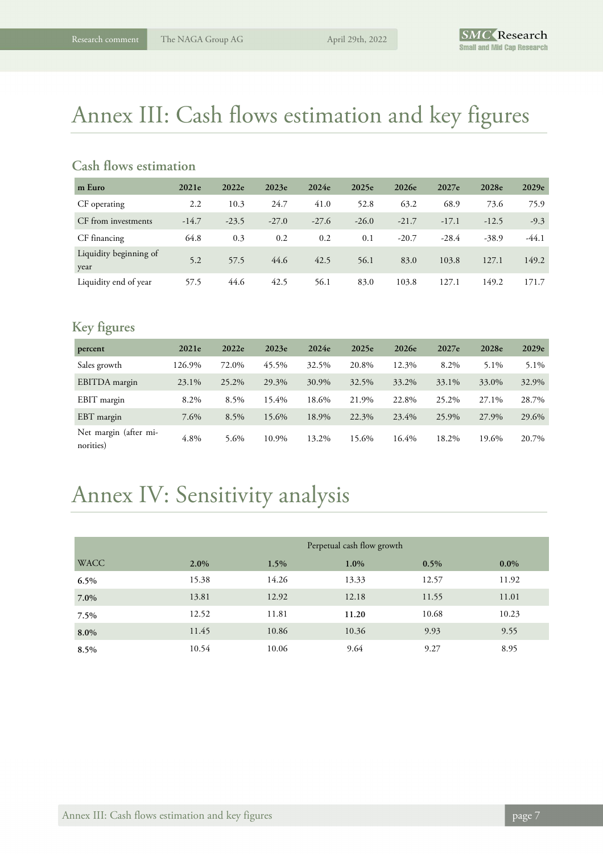## Annex III: Cash flows estimation and key figures

### **Cash flows estimation**

| m Euro                         | 2021e   | 2022e   | 2023e   | 2024e   | 2025e   | 2026e   | 2027e   | 2028e   | 2029e   |
|--------------------------------|---------|---------|---------|---------|---------|---------|---------|---------|---------|
| CF operating                   | 2.2     | 10.3    | 24.7    | 41.0    | 52.8    | 63.2    | 68.9    | 73.6    | 75.9    |
| CF from investments            | $-14.7$ | $-23.5$ | $-27.0$ | $-27.6$ | $-26.0$ | $-21.7$ | $-17.1$ | $-12.5$ | $-9.3$  |
| CF financing                   | 64.8    | 0.3     | 0.2     | 0.2     | 0.1     | $-20.7$ | $-28.4$ | $-38.9$ | $-44.1$ |
| Liquidity beginning of<br>year | 5.2     | 57.5    | 44.6    | 42.5    | 56.1    | 83.0    | 103.8   | 127.1   | 149.2   |
| Liquidity end of year          | 57.5    | 44.6    | 42.5    | 56.1    | 83.0    | 103.8   | 127.1   | 149.2   | 171.7   |

## **Key figures**

| percent                            | 2021e  | 2022e | 2023e | 2024e | 2025e | 2026e | 2027e | 2028e | 2029e |
|------------------------------------|--------|-------|-------|-------|-------|-------|-------|-------|-------|
| Sales growth                       | 126.9% | 72.0% | 45.5% | 32.5% | 20.8% | 12.3% | 8.2%  | 5.1%  | 5.1%  |
| EBITDA margin                      | 23.1%  | 25.2% | 29.3% | 30.9% | 32.5% | 33.2% | 33.1% | 33.0% | 32.9% |
| EBIT margin                        | 8.2%   | 8.5%  | 15.4% | 18.6% | 21.9% | 22.8% | 25.2% | 27.1% | 28.7% |
| EBT margin                         | 7.6%   | 8.5%  | 15.6% | 18.9% | 22.3% | 23.4% | 25.9% | 27.9% | 29.6% |
| Net margin (after mi-<br>norities) | 4.8%   | 5.6%  | 10.9% | 13.2% | 15.6% | 16.4% | 18.2% | 19.6% | 20.7% |

## Annex IV: Sensitivity analysis

|             |       | Perpetual cash flow growth |       |       |         |  |  |  |
|-------------|-------|----------------------------|-------|-------|---------|--|--|--|
| <b>WACC</b> | 2.0%  | 1.5%                       | 1.0%  | 0.5%  | $0.0\%$ |  |  |  |
| 6.5%        | 15.38 | 14.26                      | 13.33 | 12.57 | 11.92   |  |  |  |
| 7.0%        | 13.81 | 12.92                      | 12.18 | 11.55 | 11.01   |  |  |  |
| 7.5%        | 12.52 | 11.81                      | 11.20 | 10.68 | 10.23   |  |  |  |
| 8.0%        | 11.45 | 10.86                      | 10.36 | 9.93  | 9.55    |  |  |  |
| 8.5%        | 10.54 | 10.06                      | 9.64  | 9.27  | 8.95    |  |  |  |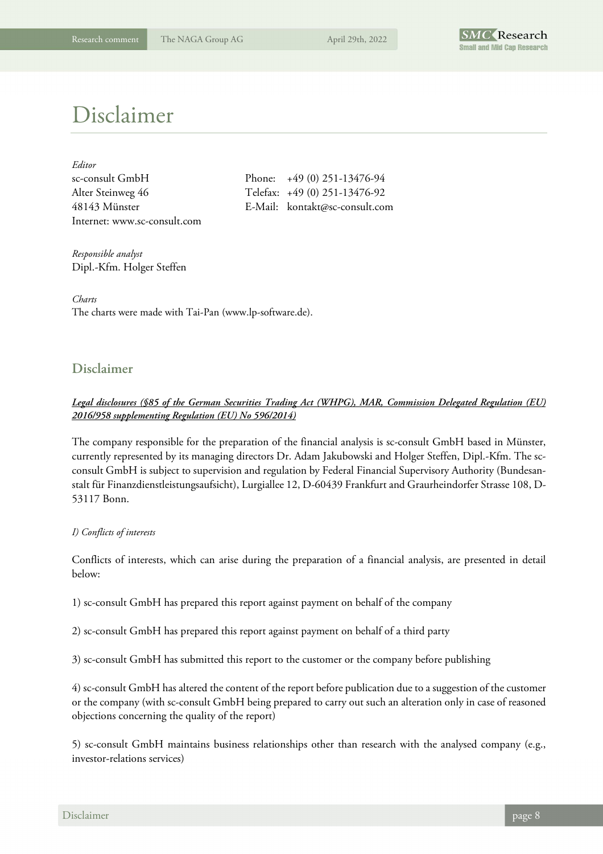

## Disclaimer

| Editor                       |
|------------------------------|
| sc-consult GmbH              |
| Alter Steinweg 46            |
| 48143 Münster                |
| Internet: www.sc-consult.com |

Phone:  $+49 (0) 251 - 13476 - 94$ Telefax: +49 (0) 251-13476-92 E-Mail: kontakt@sc-consult.com

*Responsible analyst*  Dipl.-Kfm. Holger Steffen

*Charts*  The charts were made with Tai-Pan (www.lp-software.de).

### **Disclaimer**

#### *Legal disclosures (§85 of the German Securities Trading Act (WHPG), MAR, Commission Delegated Regulation (EU) 2016/958 supplementing Regulation (EU) No 596/2014)*

The company responsible for the preparation of the financial analysis is sc-consult GmbH based in Münster, currently represented by its managing directors Dr. Adam Jakubowski and Holger Steffen, Dipl.-Kfm. The scconsult GmbH is subject to supervision and regulation by Federal Financial Supervisory Authority (Bundesanstalt für Finanzdienstleistungsaufsicht), Lurgiallee 12, D-60439 Frankfurt and Graurheindorfer Strasse 108, D-53117 Bonn.

#### *I) Conflicts of interests*

Conflicts of interests, which can arise during the preparation of a financial analysis, are presented in detail below:

1) sc-consult GmbH has prepared this report against payment on behalf of the company

2) sc-consult GmbH has prepared this report against payment on behalf of a third party

3) sc-consult GmbH has submitted this report to the customer or the company before publishing

4) sc-consult GmbH has altered the content of the report before publication due to a suggestion of the customer or the company (with sc-consult GmbH being prepared to carry out such an alteration only in case of reasoned objections concerning the quality of the report)

5) sc-consult GmbH maintains business relationships other than research with the analysed company (e.g., investor-relations services)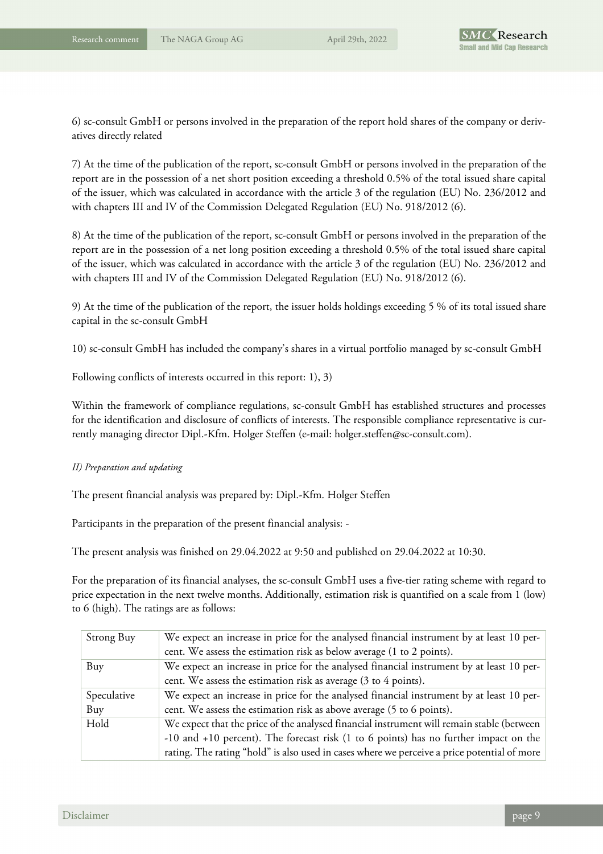6) sc-consult GmbH or persons involved in the preparation of the report hold shares of the company or derivatives directly related

7) At the time of the publication of the report, sc-consult GmbH or persons involved in the preparation of the report are in the possession of a net short position exceeding a threshold 0.5% of the total issued share capital of the issuer, which was calculated in accordance with the article 3 of the regulation (EU) No. 236/2012 and with chapters III and IV of the Commission Delegated Regulation (EU) No. 918/2012 (6).

8) At the time of the publication of the report, sc-consult GmbH or persons involved in the preparation of the report are in the possession of a net long position exceeding a threshold 0.5% of the total issued share capital of the issuer, which was calculated in accordance with the article 3 of the regulation (EU) No. 236/2012 and with chapters III and IV of the Commission Delegated Regulation (EU) No. 918/2012 (6).

9) At the time of the publication of the report, the issuer holds holdings exceeding 5 % of its total issued share capital in the sc-consult GmbH

10) sc-consult GmbH has included the company's shares in a virtual portfolio managed by sc-consult GmbH

Following conflicts of interests occurred in this report: 1), 3)

Within the framework of compliance regulations, sc-consult GmbH has established structures and processes for the identification and disclosure of conflicts of interests. The responsible compliance representative is currently managing director Dipl.-Kfm. Holger Steffen (e-mail: holger.steffen@sc-consult.com).

#### *II) Preparation and updating*

The present financial analysis was prepared by: Dipl.-Kfm. Holger Steffen

Participants in the preparation of the present financial analysis: -

The present analysis was finished on 29.04.2022 at 9:50 and published on 29.04.2022 at 10:30.

For the preparation of its financial analyses, the sc-consult GmbH uses a five-tier rating scheme with regard to price expectation in the next twelve months. Additionally, estimation risk is quantified on a scale from 1 (low) to 6 (high). The ratings are as follows:

| Strong Buy  | We expect an increase in price for the analysed financial instrument by at least 10 per-    |
|-------------|---------------------------------------------------------------------------------------------|
|             | cent. We assess the estimation risk as below average (1 to 2 points).                       |
| Buy         | We expect an increase in price for the analysed financial instrument by at least 10 per-    |
|             | cent. We assess the estimation risk as average (3 to 4 points).                             |
| Speculative | We expect an increase in price for the analysed financial instrument by at least 10 per-    |
| Buy         | cent. We assess the estimation risk as above average (5 to 6 points).                       |
| Hold        | We expect that the price of the analysed financial instrument will remain stable (between   |
|             | -10 and +10 percent). The forecast risk (1 to 6 points) has no further impact on the        |
|             | rating. The rating "hold" is also used in cases where we perceive a price potential of more |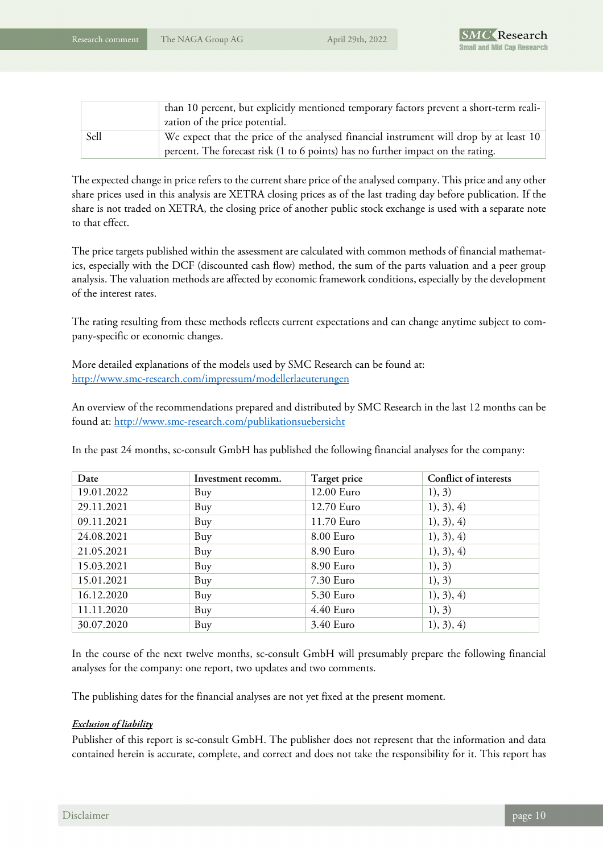

|      | than 10 percent, but explicitly mentioned temporary factors prevent a short-term reali- |
|------|-----------------------------------------------------------------------------------------|
|      | zation of the price potential.                                                          |
| Sell | We expect that the price of the analysed financial instrument will drop by at least 10  |
|      | percent. The forecast risk (1 to 6 points) has no further impact on the rating.         |

The expected change in price refers to the current share price of the analysed company. This price and any other share prices used in this analysis are XETRA closing prices as of the last trading day before publication. If the share is not traded on XETRA, the closing price of another public stock exchange is used with a separate note to that effect.

The price targets published within the assessment are calculated with common methods of financial mathematics, especially with the DCF (discounted cash flow) method, the sum of the parts valuation and a peer group analysis. The valuation methods are affected by economic framework conditions, especially by the development of the interest rates.

The rating resulting from these methods reflects current expectations and can change anytime subject to company-specific or economic changes.

More detailed explanations of the models used by SMC Research can be found at: http://www.smc-research.com/impressum/modellerlaeuterungen

An overview of the recommendations prepared and distributed by SMC Research in the last 12 months can be found at: http://www.smc-research.com/publikationsuebersicht

In the past 24 months, sc-consult GmbH has published the following financial analyses for the company:

| Date       | Investment recomm. | Target price | Conflict of interests |
|------------|--------------------|--------------|-----------------------|
| 19.01.2022 | Buy                | 12.00 Euro   | 1), 3)                |
| 29.11.2021 | Buy                | 12.70 Euro   | 1), 3), 4)            |
| 09.11.2021 | Buy                | 11.70 Euro   | 1), 3), 4)            |
| 24.08.2021 | Buy                | 8.00 Euro    | 1), 3), 4)            |
| 21.05.2021 | Buy                | 8.90 Euro    | 1), 3), 4)            |
| 15.03.2021 | Buy                | 8.90 Euro    | 1), 3)                |
| 15.01.2021 | Buy                | 7.30 Euro    | 1), 3)                |
| 16.12.2020 | Buy                | 5.30 Euro    | 1), 3), 4)            |
| 11.11.2020 | Buy                | 4.40 Euro    | 1), 3)                |
| 30.07.2020 | Buy                | 3.40 Euro    | 1), 3), 4)            |

In the course of the next twelve months, sc-consult GmbH will presumably prepare the following financial analyses for the company: one report, two updates and two comments.

The publishing dates for the financial analyses are not yet fixed at the present moment.

#### *Exclusion of liability*

Publisher of this report is sc-consult GmbH. The publisher does not represent that the information and data contained herein is accurate, complete, and correct and does not take the responsibility for it. This report has